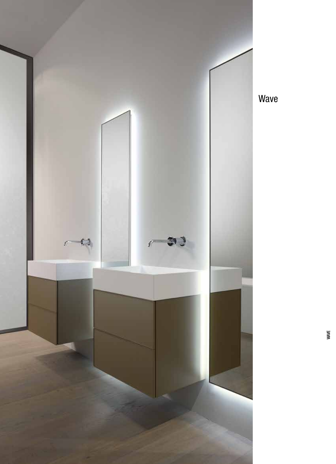

Wave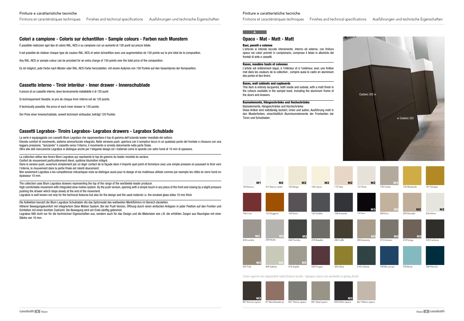## **Opaco - Mat - Matt - Matt**

#### Basi, pensili e colonne

L'articolo si intende laccato interamente, interno ed esterno, con finitura opaca nei colori previsti in campionario, compreso il telaio in alluminio dei frontali di ante e cassetti.

#### Bases, meubles hauts et colonnes

L'article est entièrement laqué, à l'intérieur et à l'extérieur, avec une finition mat dans les couleurs de la collection , compris aussi le cadre en aluminium des portes et des tiroirs.

#### Bases, wall cabinets and cupboards

This item is entirely lacquered, both inside and outside, with a matt finish in the colours available in the sample book, including the aluminum frame of the doors and drawers.

#### Basiselemente, Hängeschränke und Hochschränke

Basiselemente, Hängeschränke und Hochschränke

Diese Artikel sind vollständig lackiert, innen und außen, Ausführung matt in den Musterfarben, einschließlich Aluminiumelemente der Frontseiten der Türen und Schubladen.

# **Colori a campione - Coloris sur échantillon - Sample colours - Farben nach Munstern**

È possibile realizzare ogni tipo di colore RAL, NCS e su campione con un aumento di 150 punti sul prezzo totale.

Il est possible de réaliser chaque type de couleur RAL, NCS et selon échantillon avec une augmentation de 150 points sur le prix total de la composition.

Any RAL, NCS or sample colour can be provided for an extra charge of 150 points over the total price of the composition.

Dans la version push, ouverture simplement par un léger contact de la façade dans n'importe quel point et fermeture avec une simple pression en poussant le tiroir vers l'interne, le mouvement dans la partie finale est ralenti doucement.

Es ist möglich, jede Farbe nach Muster oder RAL, NCS Farbe herzustellen, mit einem Aufpreis von 150 Punkte auf den Gesamtpreis der Komposition.

# **Cassetto interno - Tiroir interièur - Inner drawer - Innenschublade**

Il prezzo di un cassetto interno, dove tecnicamente installabile è di 120 punti

Si techniquement faisable, le prix de chaque tiroir intérne est de 120 points.

If technically possible, the price of each inner drawer is 120 points.

Der Preis einer Innenschublade, soweit technisch einbaubar, beträgt 120 Punkte.

# **Cassetti Legrabox- Tiroirs Legrabox- Legrabox drawers - Legrabox Schublade**

La serie è equipaggiata con cassetti Blum Legrabox che rappresentano il top di gamma dell'azienda leader mondiale del settore. Elevato comfort di movimento, sistema ammortizzato integrato. Nella versione push, apertura con il semplice tocco in un qualsiasi punto del frontale e chiusura con una leggera pressione, "lanciando" il cassetto verso l'interno, il movimento si arresta dolcemente nella parte finale. Oltre alle doti meccaniche Legrabox si distingue anche per l'elegante design ed i materiali come le sponde con vetro fumé di 10 mm di spessore.

La collection utilise des tiroirs Blum Legrabox qui représente le top de gamme du leader mondial du secteur. Confort de mouvement particulièrement élevé, système blumotion intégré.

Non seulement Legrabox a les compétences mécaniques mais se distingue aussi pour le design et les matériaux utilisés comme par exemple les côtés en verre fumé en épaisseur 10 mm.

The collection uses Blum Legrabox drawers representing the top of the range of the worldwide leader producer.

High comfortable movement with integrated slow motion system. By the push version, opening with a simple touch in any place of the front and closing by a slight pressure pushing the drawer which stops slowly at the end of the movement.

Legrabox is well known not only for the technical features but also for the design and the used material i.e. the smoked glass sides 10 mm thick

Die Kollektion benutzt die Blum Lagrabox Schubladen die das Spitzmodel des weltweiten Marktführers im Bereich darstellen.

Höherer Bewegungskomfort mit integriertem Slow Motion System. Bei der Push Version, Öffnung durch einen einfachen Antippen in jeder Position auf den Fronten und Schließen mit einen leichten Zudrückt. Die Bewegung wird am Ende sänftig gebremst.

Legrabox fällt nicht nur für die technischen Eigenschaften aus, sondern auch für das Design und die Materialen wie z.B. die erhöhten Zargen aus Rauchglas mit einer Stärke von 10 mm.





Finitions et caractéristiques techniques Finishes and technical specifications Ausführungen und technische Eigenschaften

#### Finiture e caratteristiche tecniche

# Finitions et caractéristiques techniques Finishes and technical specifications Ausführungen und technische Eigenschaften

*Colori opachi non disponibili nella finitura lucida · Opaque colors not available in glossy finish*







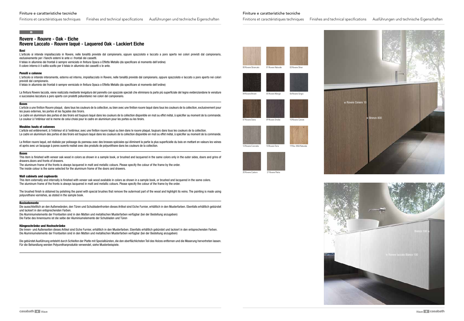# **Rovere - Rouvre - Oak - Eiche**

# **Rovere Laccato - Rouvre laqué - Laquered Oak - Lackiert Eiche**

Basi

L'articolo si intende impiallacciato in Rovere, nelle tonalità previste dal campionario, oppure spazzolato e laccato a poro aperto nei colori previsti dal campionario, esclusivamente per i fianchi esterni le ante e i frontali dei cassetti.

Il telaio in alluminio dei frontali è sempre verniciato in finitura Opaca o Effetto Metallo (da specificare al momento dell'ordine)

Il colore interno è il solito scelto per il telaio in alluminio dei cassetti o le ante.

#### Pensili e colonne

L'articolo si intende interamente, esterno ed interno, impiallacciato in Rovere, nelle tonalità previste dal campionario, oppure spazzolato e laccato a poro aperto nei colori previsti dal campionario.

L'article a une finition Rouvre plaqué, dans tous les couleurs de la collection, ou bien avec une finition rouvre laqué dans tous les couleurs de la collection, exclusivement pour les joues externes, les portes et les façades des tiroirs.

Le cadre en aluminium des portes et des tiroirs est toujours laqué dans les couleurs de la collection disponible en mat ou effet métal, à spécifier au moment de la commande. Le couleur à l'intérieur est le meme de celui choisi pour le cadre en aluminium pour les portes ou les tiroirs.

Il telaio in alluminio dei frontali è sempre verniciato in finitura Opaca o Effetto Metallo (da specificare al momento dell'ordine)

La finitura Rovere laccata, viene realizzata mediante levigatura del pannello con spazzole speciali che eliminano la parte più superficiale del legno evidenziandone le venature e successiva laccatura a poro aperto con prodotti poliuretanici nei colori del campionario.

#### **Bases**

La finition rouvre laqué, est réalisée par polissage du panneau avec des brosses spéciales qui éliminent la partie la plus superficielle du bois en mettant en valeurs les veines et après avec un lacquage à pores ouverts realisé avec des produits de polyuréthane dans les couleurs de la collection.

#### Meubles hauts et colonnes

L'article est entièrement, à l'intérieur et à l'extérieur, avec une finition rouvre laqué ou bien dans le rouvre plaqué, toujours dans tous les couleurs de la collection. Le cadre en aluminium des portes et des tiroirs est toujours laqué dans les couleurs de la collection disponible en mat ou effet métal, à spécifier au moment de la commande.

#### Bases

This item is finished with veneer oak wood in colors as shown in a sample book, or brushed and lacquered in the same colors only in the outer sides, doors and grins of drawers.doors and fronts of drawers.

The aluminum frame of the fronts is always lacquered in matt and metallic colours. Please specify the colour of the frame by the order.

The inside colour is the same selected for the aluminum frame of the doors and drawers.

#### Wall cabinets and cupboards

This item externally and internally is finished with veneer oak wood available in colors as shown in a sample book, or brushed and lacquered in the same colors. The aluminum frame of the fronts is always lacquered in matt and metallic colours. Please specify the colour of the frame by the order.

The brushed finish is obtained by polishing the panel with special brushes that remove the outermost part of the wood and highlight its veins. The painting is made using polyurethane varnishes, as stated in the sample book.

#### Basiselemente

Die ausschließlich an den Außenwänden, den Türen und Schubladenfronten dieses Artikel sind Eiche Furnier, erhältlich in den Musterfarben. Ebenfalls erhältlich gebürstet und lackiert in den entsprechenden Farben.

Die Aluminiumelemente der Frontseiten sind in den Matten und metallischen Musterfarben verfügbar (bei der Bestellung anzugeben) Die Farbe des Innenraums ist die selbe der Aluminiumelemente der Schubladen und Türen

#### Hängeschränke und Hochschränke

Die Innen- und Außenseiten dieses Artikel sind Eiche Furnier, erhältlich in den Musterfarben. Ebenfalls erhältlich gebürstet und lackiert in den entsprechenden Farben. Die Aluminiumelemente der Frontseiten sind in den Matten und metallischen Musterfarben verfügbar (bei der Bestellung anzugeben)

Die gebürstet Ausführung entsteht durch Schleifen der Platte mit Spezialbürsten, die den oberflächlichsten Teil des Holzes entfernen und die Maserung hervortreten lassen. Für die Behandlung werden Polyurethanprodukte verwendet, siehe Musterbeispiele.



00 Rovere Sbiancato 01 Rovere Naturale 02 Rovere Silve





Finitions et caractéristiques techniques Finishes and technical specifications Ausführungen und technische Eigenschaften

Finiture e caratteristiche tecniche

# **B**

# Finitions et caractéristiques techniques Finishes and technical specifications Ausführungen und technische Eigenschaften



















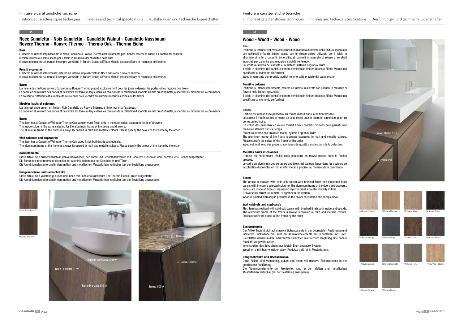# **Noce Canaletto - Noix Canaletto - Canaletto Walnut - Canaletto Nussbaum Rovere Thermo - Rouvre Thermo - Thermo Oak - Thermo Eiche**

#### Basi

L'articolo si intende impiallacciato in Noce Canaletto o Rovere Thermo esclusivamente per i fianchi esterni, le antine e i frontali dei cassetti. Il colore interno è il solito scelto per il telaio in alluminio dei cassetti o delle ante. Il telaio in alluminio dei frontali è sempre verniciato in finitura Opaca o Effetto Metallo (da specificare al momento dell'ordine)

#### Pensili e colonne

L'article est entièrement en finition Noix Canaletto ou Rouvre Thermo, à l'intérieur et à l'extérieur. Le cadre en aluminium des portes et des tiroirs est toujours laqué dans les couleurs de la collection disponible en mat ou effet métal, à spécifier au moment de la commande.

L'articolo si intende interamente, esterno ed interno, impiallacciato in Noce Canaletto o Rovere Thermo. Il telaio in alluminio dei frontali è sempre verniciato in finitura Opaca o Effetto Metallo (da specificare al momento dell'ordine)

#### Bases

L'article a des finitions en Noix Canaletto ou Rouvre Thermo plaqué exclusivement pour les joues externes, les portes et les façades des tiroirs. Le cadre en aluminium des portes et des tiroirs est toujours laqué dans les couleurs de la collection disponible en mat ou effet métal, à spécifier au moment de la commande. Le couleur à l'intérieur est le meme de celui choisi pour le cadre en aluminium pour les portes ou les tiroirs.

#### Meubles hauts et colonnes

#### Bases

This item has a Canaletto Walnut or Thermo Oak veneer wood finish only in the outer sides, doors and fronts of drawers. The inside colour is the same selected for the aluminum frame of the doors and drawers.

The aluminum frame of the fronts is always lacquered in matt and metallic colours. Please specify the colour of the frame by the order.

#### Wall cabinets and cupboards

This item has a Canaletto Walnut or Thermo Oak wood finish both inside and outside. The aluminum frame of the fronts is always lacquered in matt and metallic colours. Please specify the colour of the frame by the order.

#### Basiselemente

Diese Artikel sind ausschließlich an den Außenwänden, den Türen und Schubladenfronten mit Canaletto Nussbaum und Thermo Eiche Furnier ausgestattet. Die Farbe des Innenraums ist die selbe der Aluminiumelemente der Schubladen und Türen Die Aluminiumelemente sind in den matten und metallischen Musterfarben verfügbar (bei der Bestellung anzugeben).

#### Hängeschränke und Hochschränke

Diese Artikel sind vollständig, außen und Innen mit Canaletto Nussbaum und Thermo Eiche Furnier ausgestattet. Die Aluminiumelemente sind in den matten und metallischen Musterfarben verfügbar (bei der Bestellung anzugeben).





Noce Canaletto 01



th Porfido QX 560  $\star$ Noce Canaletto 01  $\times$ Rame bronzato 810  $\times$  Bronzo 800  $\times$ Rovere Thermo the contract of the contract of the contract of the contract of the contract of the contract of the contract of the contract of the contract of the contract of the contract of the contract of the contract of

#### Finiture e caratteristiche tecniche

Finitions et caractéristiques techniques Finishes and technical specifications Ausführungen und technische Eigenschaften

### **C C**

#### Finiture e caratteristiche tecniche

# **Wood - Wood - Wood - Wood**

#### Basi

L'articolo si intende realizzato con pannelli in massello di Rovere nella finitura spazzolata con schienali e fianchi interni laccati con lo stesso colore utilizzato per il telaio in alluminio di ante o cassetti. Sono utilizzati pannelli in massello di rovere a tre strati incrociati per garantire una maggiore stabilità nel tempo.

La struttura interna dei cassetti è in metallo: sistema Legrabox Blum. Il telaio in alluminio dei frontali è sempre verniciato in finitura Opaca o Effetto Metallo (da specificare al momento dell'ordine)

Wood è verniciato con prodotti acrilici nelle tonalità previste dal campionario.

#### Pensili e colonne

L'articolo si intende interamente, esterno ed interno, realizzato con pannelli in massello di Rovere nella finitura spazzolata.

Il telaio in alluminio dei frontali è sempre verniciato in finitura Opaca o Effetto Metallo (da specificare al momento dell'ordine)

#### **Bases**

L'article est réalisé avec panneaux en rouvre massif dans la finition brossée. Le couleur à l'intérieur est le meme de celui choisi pour le cadre en aluminium pour les portes ou les tiroirs.

On utilise des panneaux en rouvre massif à trois couches croisées pour garantir une meilleure stabilité dans le temps.

Structure interne des tiroirs en métal : system Legrabox Blum.

The aluminum frame of the fronts is always lacquered in matt and metallic colours. Please specify the colour of the frame by the order.

Wood est teint avec des produits acryliques de qualité dans les tons de la collection.

#### Meubles hauts et colonnes

L'article est entièrement réalisé avec panneaux en rouvre massif dans la finition brossée.

Le cadre en aluminium des portes ou des tiroirs est toujours laqué dans les couleurs de la collection disponibles en mat et effet métal, à préciser au moment de la commande.

#### **Bases**

The article is realized with solid oak panels with brushed finish and lacquered back panels with the same selected colour for the aluminum frame of the doors and drawers.. Panels are made of three crisscrossing layer to grant a greater stability in time. Drawer inner structure in metal : Legrabox Blum system. Wood is painted with acrylic products in the colors as stated in the sample book.

#### Wall cabinets and cupboards

This item has realized with solid oak panels with brushed finish both inside and outside. The aluminum frame of the fronts is always lacquered in matt and metallic colours. Please specify the colour of the frame by the order.

#### **Basiselemente**

Der Artikel bezieht sich auf massive Eichenpaneele in der gebrüsteten Ausführung und lackierten Rückwände die Farbe der Aluminiumelemente der Schubladen und Türen. Die Platten werden in drei überkreuzten Schichten realisiert um langfristig eine höhere Stabilität zu gewährleisten.

Innenstruktur des Schubladen aus Metall: Blum Legrabox System. Wood wird mit hochwertigen Acryl-Produkte gefärbt in Musterfarben.

#### Hängeschränke und Hochschränke

Diese Artikel sind vollständig, außen und Innen mit massive Eichenpaneele in der gebrüsteten Ausführung.

Die Aluminiumelemente der Frontseiten sind in den Matten und metallischen Musterfarben verfügbar (bei der Bestellung anzugeben)

#### **D**





00 Rovere Shiancato 01 Rovere Naturale 02 Rovere Silver 04 Rovere Brow















10 Rovere Cenere

09 Rovere Smoke



12 Rovere Concrete 14 Rovere Terra 19 Rov. Wild Naturale

20 Rovere Castoro 21 Rovere Pietra







05 Rovere Wengè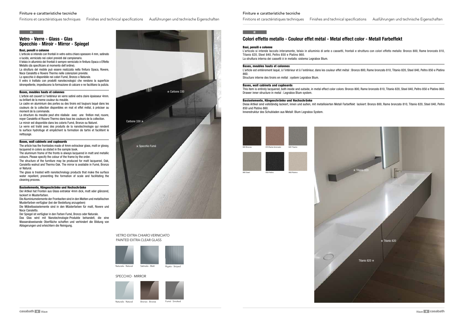Finiture e caratteristiche tecniche

Finitions et caractéristiques techniques Finishes and technical specifications Ausführungen und technische Eigenschaften

# **D**

## **Vetro - Verre - Glass - Glas Specchio - Miroir - Mirror - Spiegel**

#### Basi, pensili e colonne

L'articolo si intende con frontali in vetro extra chiaro spessore 4 mm, satinato o lucido, verniciato nei colori previsti dal campionario.

Il telaio in alluminio dei frontali è sempre verniciato in finitura Opaca o Effetto Metallo (da specificare al momento dell'ordine).

La struttura del mobile può essere realizzata nella finitura Opaca, Rovere, Noce Canaletto e Rovere Thermo nelle colorazioni previste.

Lo specchio è disponibile nei colori Fumé, Bronzo o Naturale.

Il vetro è trattato con prodotti nanotecnologici che rendono la superficie idrorepellente, impediscono la formazione di calcare e ne facilitano la pulizia.

#### Bases, meubles hauts et colonnes

L'article est couvert à l'extérieur en verre satiné extra claire épaisseur 4mm. ou brillant de la meme couleur du meuble.

Le cadre en aluminium des portes ou des tiroirs est toujours laqué dans les couleurs de la collection disponibles en mat et effet métal, à préciser au moment de la commande.

La structure du meuble peut etre réalisée avec une finition mat, rouvre, noyer Canaletto et Rouvre Thermo dans tous les couleurs de la collection. Le miroir est disponible dans les coloris Fumé, Bronze ou Naturel.

Le verre est traité avec des produits de la nanotechnologie qui rendent la surface hydrofuge et empêchent la formation de tartre et facilitent le nettoyage.

#### Bases, wall cabinets and cupboards

The article has the frontsides made of 4mm extraclear glass, matt or glossy, lacquered in colors as stated in the sample book.

The aluminum frame of the fronts is always lacquered in matt and metallic colours. Please specify the colour of the frame by the order.

The structure of the furniture may be produced for matt lacquered, Oak, Canaletto walnut and Thermo Oak. The mirror is available in Fumé, Bronzo or Natural.

The glass is treated with nanotechnology products that make the surface water repellent, preventing the formation of scale and facilitating the cleaning process.



#### Basiselemente, Hängeschränke und Hochschränke

Der Artikel hat Fronten aus Glass extraklar 4mm dick, matt oder glänzend, lackiert in Musterfarben.

Die Aluminiumelemente der Frontseiten sind in den Matten und metallischen Musterfarben verfügbar (bei der Bestellung anzugeben) Die Möbelbasiselemente sind in den Müsterfarben für matt, Rovere und

Noce Canaletto.

Der Spiegel ist verfügbar in den Farben Fumé, Bronzo oder Naturale. Das Glas wird mit Nanotechnologie-Produkte behandelt, die eine Wasserabweisende Oberfläche schaffen und verhindert die Bildung von Ablagerungen und erleichtern die Reinigung.



Finiture e caratteristiche tecniche

#### SPECCHIO · MIRROR



## **E**



## VETRO EXTRA CHIARO VERNICIATO PAINTED EXTRA CLEAR GLASS

# **Colori effetto metallo - Couleur effet métal - Metal effect color - Metall Farbeffekt**

#### Basi, pensili e colonne

L'articolo si intende laccato interamente, telaio in alluminio di ante o cassetti, frontali e struttura con colori effetto metallo: Bronzo 800, Rame bronzato 810, Titanio 820, Steel 840, Peltro 850 e Platino 860. La struttura interna dei cassetti è in metallo: sistema Legrabox Blum.

#### Bases, meubles hauts et colonnes

L'article est entièrement laqué, à l'intérieur et à l'extérieur, dans les couleur effet métal : Bronzo 800, Rame bronzato 810, Titanio 820, Steel 840, Peltro 850 e Platino 860.

Structure interne des tiroirs en métal : system Legrabox Blum.

#### Bases, wall cabinets and cupboards

This item is entirely lacquered, both inside and outside, in metal effect color colors: Bronzo 800, Rame bronzato 810, Titanio 820, Steel 840, Peltro 850 e Platino 860. Drawer inner structure in metal : Legrabox Blum system.

#### Basiselemente, Hängeschränke und Hochschränke

Diese Artikel sind vollständig lackiert, innen und außen, mit metallisierten Metall Farbeffekt lackiert: Bronzo 800, Rame bronzato 810, Titanio 820, Steel 840, Peltro 850 und Platino 860. Innenstruktur des Schubladen aus Metall: Blum Legrabox System.

850 Peltro 860 Platino





840 Steel

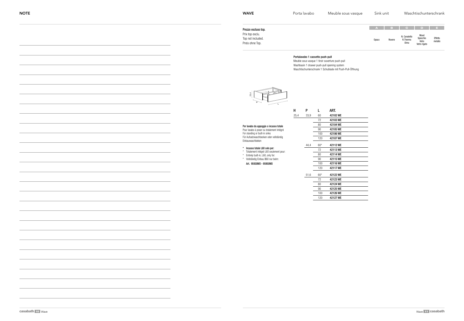| A            | в      | C.                               | D                                         | E.                 |
|--------------|--------|----------------------------------|-------------------------------------------|--------------------|
| <b>Opaco</b> | Rovere | N. Canaletto<br>R.Thermo<br>Olmo | Wood<br>Specchio<br>Vetro<br>Vetro rigato | Effetto<br>metallo |

#### Portalavabo 1 cassetto push-pull

Meuble sous vasque 1 tiroir ouverture push-pull Washbasin 1 drawer push-pull opening system Waschtischunterschrank 1 Schublade mit Push-Pull-Öffnung

Prezzo escluso top. Prix top exclu. Top not included. Preis ohne Top.

Per lavabo da appoggio o incasso totale Pour lavabo à poser ou totalement intégré For standing or built-in sinks Für Aufsatzwaschbecken oder vollständig

Einbauwaschbeken

\* Incasso totale L60 solo per: \* Totalement intégré L60 seulement pour: \* Entirely built-in, L60, only for: \* Vollständig Einbau B60 nur beim: Art. 95930MO - 95950MO



| н    | Ρ    | L     | ART.     |
|------|------|-------|----------|
| 25,4 | 33,9 | 60    | 42102 WE |
|      |      | 72    | 42103 WE |
|      |      | 80    | 42104 WE |
|      |      | 90    | 42105 WE |
|      |      | 100   | 42106 WE |
|      |      | 120   | 42107 WE |
|      | 44,4 | $60*$ | 42112 WE |
|      |      | 72    | 42113 WF |
|      |      | 80    | 42114 WE |
|      |      | 90    | 42115 WF |
|      |      | 100   | 42116 WE |
|      |      | 120   | 42117 WE |
|      | 51,6 | $60*$ | 42122 WE |
|      |      | 72    | 42123 WE |
|      |      | 80    | 42124 WF |
|      |      | 90    | 42125 WF |
|      |      | 100   | 42126 WE |
|      |      | 120   | 42127 WE |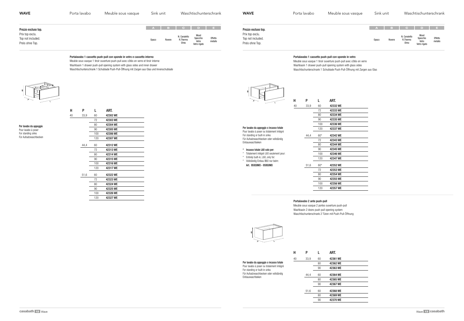

#### Portalavabo 1 cassetto push-pull con sponde in vetro e cassetto interno

Meuble sous vasque 1 tiroir ouverture push-pull avec côtés en verre et tiroir interne Washbasin 1 drawer push-pull opening system with glass sides and inner drawer Waschtischunterschrank 1 Schublade Push-Pull-Öffnung mit Zargen aus Glas und Innenschublade



| <b>WAVE</b>                                                                    | Porta lavabo | Meuble sous vasque | Sink unit       | Waschtischunterschrank                                                                                          | <b>WAVE</b>                                                                    | Porta lavabo | Meuble sous vasque | Sink unit       | Waschtischuntersch                                                                                     |
|--------------------------------------------------------------------------------|--------------|--------------------|-----------------|-----------------------------------------------------------------------------------------------------------------|--------------------------------------------------------------------------------|--------------|--------------------|-----------------|--------------------------------------------------------------------------------------------------------|
| Prezzo escluso top.<br>Prix top exclu.<br>Top not included.<br>Preis ohne Top. |              |                    | Opaco<br>Rovere | A B C D E<br>Wood<br>Specchi<br>Vetro<br>N. Canaletto<br>Effetto<br>R.Thermo<br>metallo<br>Olmo<br>Vetro rigato | Prezzo escluso top.<br>Prix top exclu.<br>Top not included.<br>Preis ohne Top. |              |                    | Opaco<br>Rovere | ABCDE<br>Wood<br>N. Canaletto<br>Specchio<br>Vetro<br>Vetro rigato<br>Effe<br>R.Thermo<br>meta<br>Olmo |

Per lavabo da appoggio Pour lavabo à poser For standing sinks Für Aufsatzwaschbecken

## Portalavabo 1 cassetto push-pull con sponde in vetro

- Meuble sous vasque 1 tiroir ouverture push-pull avec côtés en verre
- Washbasin 1 drawer push-pull opening system with glass sides
- Waschtischunterschrank 1 Schublade Push-Pull-Öffnung mit Zargen aus Glas

#### Portalavabo 2 ante push-pull

Meuble sous vasque 2 portes ouverture push-pull Washbasin 2 doors push-pull opening system Waschtischunterschrank 2 Türen mit Push-Pull-Öffnung



Per lavabo da appoggio o incasso totale Pour lavabo à poser ou totalement intégré For standing or built-in sinks Für Aufsatzwaschbecken oder vollständig Einbauwaschbeken

Per lavabo da appoggio o incasso totale Pour lavabo à poser ou totalement intégré For standing or built-in sinks Für Aufsatzwaschbecken oder vollständig Einbauwaschbeken \* Incasso totale L60 solo per: \* Totalement intégré L60 seulement pour: \* Entirely built-in, L60, only for: \* Vollständig Einbau B60 nur beim: Art. 95930MO - 95950MO 40 33,9 60 42332 WE 44,4 60\* 42342 WE 51,6 60\* 42352 WE H P L ART.

| 40 | 33,9 | 60  | 42302 WE |
|----|------|-----|----------|
|    |      | 72  | 42303 WE |
|    |      | 80  | 42304 WE |
|    |      | 90  | 42305 WE |
|    |      | 100 | 42306 WE |
|    |      | 120 | 42307 WE |
|    | 44,4 | 60  | 42312 WE |
|    |      | 72  | 42313 WE |
|    |      | 80  | 42314 WE |
|    |      | 90  | 42315 WE |
|    |      | 100 | 42316 WE |
|    |      | 120 | 42317 WE |
|    | 51,6 | 60  | 42322 WE |
|    |      | 72  | 42323 WE |
|    |      | 80  | 42324 WE |
|    |      | 90  | 42325 WE |
|    |      | 100 | 42326 WE |
|    |      | 120 | 42327 WE |

H P L ART.

 42333 WE 42334 WE 42335 WE 42336 WE 42337 WE

 42343 WE 42344 WE 42345 WE 42346 WE 42347 WE

 42353 WE 42354 WE 90 42355 WE 42356 WE 42357 WE

| н  | P    | L  | ART.     |
|----|------|----|----------|
| 40 | 33,9 | 60 | 42361 WE |
|    |      | 80 | 42362 WE |
|    |      | 90 | 42363 WE |
|    | 44.4 | 60 | 42364 WE |
|    |      | 80 | 42365 WE |
|    |      | 90 | 42367 WE |
|    | 51,6 | 60 | 42368 WE |
|    |      | 80 | 42369 WE |
|    |      | 90 | 42370 WE |

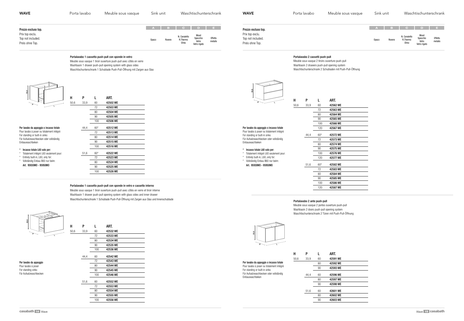#### Portalavabo 1 cassetto push-pull con sponde in vetro

Meuble sous vasque 1 tiroir ouverture push-pull avec côtés en verre Washbasin 1 drawer push-pull opening system with glass sides Waschtischunterschrank 1 Schublade Push-Pull-Öffnung mit Zargen aus Glas



Per lavabo da appoggio Pour lavabo à poser For standing sinks Für Aufsatzwaschbecken

#### Portalavabo 1 cassetto push-pull con sponde in vetro e cassetto interno

Meuble sous vasque 1 tiroir ouverture push-pull avec côtés en verre et tiroir interne Washbasin 1 drawer push-pull opening system with glass sides and inner drawer Waschtischunterschrank 1 Schublade Push-Pull-Öffnung mit Zargen aus Glas und Innenschublade



 $50,6$ 

| <b>WAVE</b>                                             | Porta lavabo | Meuble sous vasque | Sink unit       | Waschtischunterschrank                                                                              | <b>WAVE</b>                                             | Porta lavabo | Meuble sous vasque | Sink unit |                                            | Waschtischunterschrank                    |                    |
|---------------------------------------------------------|--------------|--------------------|-----------------|-----------------------------------------------------------------------------------------------------|---------------------------------------------------------|--------------|--------------------|-----------|--------------------------------------------|-------------------------------------------|--------------------|
| Prezzo escluso top.                                     |              |                    |                 | A B C D E                                                                                           | Prezzo escluso top.                                     |              |                    |           |                                            | A B C D E                                 |                    |
| Prix top exclu.<br>Top not included.<br>Preis ohne Top. |              |                    | Opaco<br>Rovere | Wood<br>N. Canaletto<br>Effetto<br>metallo<br>Specchio<br>R.Thermo<br>Vetro<br>Olmo<br>Vetro rigato | Prix top exclu.<br>Top not included.<br>Preis ohne Top. |              |                    | Opaco     | N. Canaletto<br>R.Thermo<br>Rovere<br>Olmo | Wood<br>Specchio<br>Vetro<br>Vetro rigato | Effetto<br>metallo |

Portalavabo 2 cassetti push-pull

Meuble sous vasque 2 tiroirs ouverture push-pull Washbasin 2 drawers push-pull opening system Waschtischunterschrank 2 Schubladen mit Push-Pull-Öffnung

#### Portalavabo 2 ante push-pull

Meuble sous vasque 2 portes ouverture push-pull Washbasin 2 doors push-pull opening system Waschtischunterschrank 2 Türen mit Push-Pull-Öffnung



Per lavabo da appoggio o incasso totale Pour lavabo à poser ou totalement intégré For standing or built-in sinks Für Aufsatzwaschbecken oder vollständig

| $\tilde{5}$                                                                                                                                                                           | н<br>50,6 | P<br>33,9 | L<br>60<br>72<br>80<br>90      | ART.<br>42502 WE<br>42503 WE<br>42504 WE<br>42505 WE     |
|---------------------------------------------------------------------------------------------------------------------------------------------------------------------------------------|-----------|-----------|--------------------------------|----------------------------------------------------------|
|                                                                                                                                                                                       |           |           | 100                            | 42506 WE                                                 |
| Per lavabo da appoggio o incasso totale<br>Pour lavabo à poser ou totalement intégré<br>For standing or built-in sinks<br>Für Aufsatzwaschbecken oder vollständig<br>Einbauwaschbeken |           | 44,4      | $60*$<br>72<br>80<br>90<br>100 | 42512 WE<br>42513 WE<br>42514 WE<br>42515 WE<br>42516 WE |
| Incasso totale L60 solo per:<br>Totalement intégré L60 seulement pour:                                                                                                                |           | 51,6      | $60*$                          | 42522 WE                                                 |
| Entirely built-in, L60, only for:                                                                                                                                                     |           |           | 72                             | 42523 WE                                                 |
| Vollständig Einbau B60 nur beim:                                                                                                                                                      |           |           | 80                             | 42524 WE                                                 |
| Art. 95930MO - 95950MO                                                                                                                                                                |           |           | 90                             | 42525 WE                                                 |
|                                                                                                                                                                                       |           |           | 100                            | 42526 WE                                                 |

Einbauwaschbeken

\* Incasso totale L60 solo per: \* Totalement intégré L60 seulement pour: \* Entirely built-in, L60, only for: \* Vollständig Einbau B60 nur beim: Art. 95930MO - 95950MO

Per lavabo da appoggio o incasso totale Pour lavabo à poser ou totalement intégré For standing or built-in sinks Für Aufsatzwaschbecken oder vollständig Einbauwaschbeken

| н    | P    | L   | ART.     |
|------|------|-----|----------|
| 50,6 | 33,9 | 60  | 42532 WE |
|      |      | 72  | 42533 WE |
|      |      | 80  | 42534 WE |
|      |      | 90  | 42535 WE |
|      |      | 100 | 42536 WE |
|      | 44,4 | 60  | 42542 WE |
|      |      | 72  | 42543 WE |
|      |      | 80  | 42544 WE |
|      |      | 90  | 42545 WE |
|      |      | 100 | 42546 WE |
|      | 51,6 | 60  | 42552 WE |

| 51.6 | 60  | 42552 WE |
|------|-----|----------|
|      | 72  | 42553 WE |
|      | 80  | 42554 WE |
|      | 90  | 42555 WE |
|      | 100 | 42556 WE |





| Н    | Р    | L  | ART.     |
|------|------|----|----------|
| 50,6 | 33,9 | 60 | 42591 WE |
|      |      | 80 | 42592 WE |
|      |      | 90 | 42593 WE |
|      | 44.4 | 60 | 42596 WE |
|      |      | 80 | 42597 WE |
|      |      | 90 | 42598 WE |
|      | 51,6 | 60 | 42601 WE |
|      |      | 80 | 42602 WE |
|      |      | 90 | 42603 WE |
|      |      |    |          |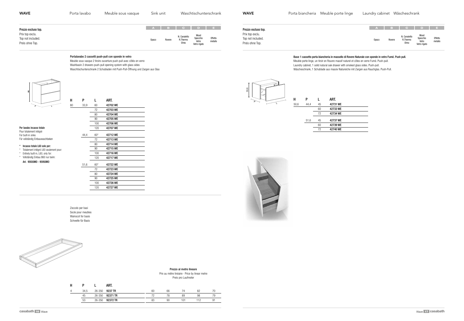| A            | в      | C.                               | D                                         | E.                 |
|--------------|--------|----------------------------------|-------------------------------------------|--------------------|
| <b>Opaco</b> | Rovere | N. Canaletto<br>R.Thermo<br>Olmo | Wood<br>Specchio<br>Vetro<br>Vetro rigato | Effetto<br>metallo |

#### Portalavabo 2 cassetti push-pull con sponde in vetro

Meuble sous vasque 2 tiroirs ouverture push-pull avec côtés en verre Washbasin 2 drawers push-pull opening system with glass sides Waschtischunterschrank 2 Schubladen mit Push-Pull-Öffnung und Zargen aus Glas



Per lavabo incasso totale Pour totalement intégré For built-in sinks

| <b>WAVE</b>                                             | Porta lavabo | Meuble sous vasque | Sink unit       | Waschtischunterschrank                                                                              | <b>WAVE</b>                                             | Porta biancheria Meuble porte linge | Laundry cabinet Wäscheschrank                                                            |              |
|---------------------------------------------------------|--------------|--------------------|-----------------|-----------------------------------------------------------------------------------------------------|---------------------------------------------------------|-------------------------------------|------------------------------------------------------------------------------------------|--------------|
| Prezzo escluso top.                                     |              |                    |                 |                                                                                                     | Prezzo escluso top.                                     |                                     | ABCDE                                                                                    |              |
| Prix top exclu.<br>Top not included.<br>Preis ohne Top. |              |                    | Opaco<br>Rovere | Wood<br>Specchio<br>Vetro<br>N. Canaletto<br>Effetto<br>R.Thermo<br>metallo<br>Olmo<br>Vetro rigato | Prix top exclu.<br>Top not included.<br>Preis ohne Top. |                                     | Wood<br>Specchio<br>Vetro<br>N. Canaletto<br>R.Thermo<br>Rovere<br>Opaco<br>Vetro rigato | Effe<br>meta |

Für vollständig Einbauwaschbeken

\* Incasso totale L60 solo per: \* Totalement intégré L60 seulement pour: \* Entirely built-in, L60, only for: \* Vollständig Einbau B60 nur beim: Art. 95930MO - 95950MO

|      |        | ART.     |    |    |     |     |    |
|------|--------|----------|----|----|-----|-----|----|
| 34.5 | 26-350 | 9237 TR  | 60 | 66 |     | 82  |    |
| 45   | 26-350 | 92371 TR |    |    | 89  | 98  | 79 |
| 53   | 26-350 | 92372 TR | 83 | 90 | 101 | 112 |    |
|      |        |          |    |    |     |     |    |

Zoccolo per basi Socle pour meubles Wainscot for basis Schwelle für Basis



# Prezzo al metro lineare

Prix au mètre linéaire · Price by linear metre Preis pro Laufmeter

P 50,6 L

#### Base 1 cassetto porta biancheria in massello di Rovere Naturale con sponde in vetro Fumé. Push pull.

Meuble porte linge, un tiroir en Rouvre massif naturel et côtes en verre Fumé. Push-pull.

Laundry cabinet, 1 solid natural oak drawer with smoked glass sides. Push-pull.

Wäscheschrank, 1 Schublade aus massiv Natureiche mit Zargen aus Rauchglas. Push-Pull.

| н  | P    | L     | ART.     |
|----|------|-------|----------|
| 80 | 33,9 | 60    | 42702 WE |
|    |      | 72    | 42703 WE |
|    |      | 80    | 42704 WE |
|    |      | 90    | 42705 WE |
|    |      | 100   | 42706 WE |
|    |      | 120   | 42707 WE |
|    | 44,4 | $60*$ | 42712 WE |
|    |      | 72    | 42713 WE |
|    |      | 80    | 42714 WE |
|    |      | 90    | 42715 WE |
|    |      | 100   | 42716 WE |
|    |      | 120   | 42717 WE |
|    | 51,6 | $60*$ | 42722 WE |
|    |      | 72    | 42723 WE |
|    |      | 80    | 42724 WE |
|    |      | 90    | 42725 WE |
|    |      | 100   | 42726 WE |
|    |      | 120   | 42727 WE |





# porte linge Laundry cabinet Wäscheschrank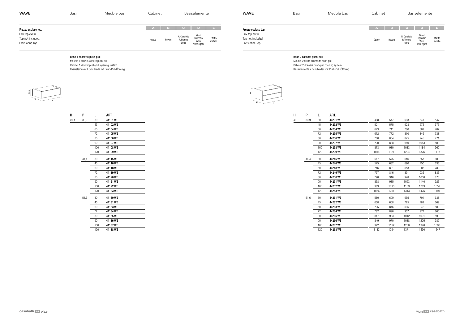# Base 1 cassetto push-pull

Meuble 1 tiroir ouverture push-pull Cabinet 1 drawer push-pull opening system Basiselemente 1 Schublade mit Push-Pull-Öffnung

| <b>WAVE</b>                                                                    | Basi | Meuble bas | Cabinet                  | Basiselemente                                                                                       | <b>WAVE</b>                                                                    | Basi | Meuble bas | Cabinet | Basiselemente                                                                                                                            |
|--------------------------------------------------------------------------------|------|------------|--------------------------|-----------------------------------------------------------------------------------------------------|--------------------------------------------------------------------------------|------|------------|---------|------------------------------------------------------------------------------------------------------------------------------------------|
| Prezzo escluso top.<br>Prix top exclu.<br>Top not included.<br>Preis ohne Top. |      |            | $A$ B<br>Rovere<br>Opaco | Wood<br>N. Canaletto<br>Effetto<br>metallo<br>Specchio<br>R.Thermo<br>Vetro<br>Olmo<br>Vetro rigato | Prezzo escluso top.<br>Prix top exclu.<br>Top not included.<br>Preis ohne Top. |      |            | Opaco   | <b>Daniel</b><br>I DE L<br>Wood<br>N. Canaletto<br>Effetto<br>Specchio<br>R.Thermo<br>Rovere<br>metallo<br>Vetro<br>Olmo<br>Vetro rigato |



 $H$ 

Base 2 cassetti push-pull Meuble 2 tiroirs ouverture push-pull Cabinet 2 drawers push-pull opening system

# Basiselemente 2 Schubladen mit Push-Pull-Öffnung

| 498  | 547  | 593  | 641  | 547  |
|------|------|------|------|------|
| 521  | 575  | 623  | 672  | 573  |
| 643  | 711  | 760  | 809  | 707  |
| 672  | 772  | 810  | 846  | 738  |
| 700  | 804  | 875  | 945  | 771  |
| 730  | 838  | 940  | 1043 | 803  |
| 873  | 980  | 1083 | 1184 | 960  |
| 1014 | 1121 | 1224 | 1326 | 1116 |
| 547  | 575  | 616  | 657  | 603  |
| 575  | 632  | 690  | 750  | 633  |
| 716  | 801  | 853  | 903  | 789  |
| 757  | 846  | 891  | 936  | 833  |
| 798  | 916  | 978  | 1038 | 878  |
| 838  | 985  | 1063 | 1140 | 923  |
| 963  | 1093 | 1189 | 1283 | 1057 |
| 1086 | 1201 | 1313 | 1425 | 1194 |
| 580  | 609  | 655  | 701  | 638  |
| 608  | 668  | 725  | 782  | 669  |
| 735  | 846  | 895  | 942  | 809  |
| 782  | 896  | 937  | 977  | 860  |
| 817  | 933  | 1012 | 1091 | 899  |
| 849  | 970  | 1088 | 1205 | 935  |
| 992  | 1112 | 1230 | 1348 | 1090 |
| 1133 | 1254 | 1371 | 1490 | 1247 |
|      |      |      |      |      |

| н  | P    | L   | art.     |
|----|------|-----|----------|
| 40 | 33,9 | 30  | 44231 WE |
|    |      | 45  | 44232 WE |
|    |      | 60  | 44234 WE |
|    |      | 72  | 44235 WE |
|    |      | 80  | 44236 WE |
|    |      | 90  | 44237 WE |
|    |      | 100 | 44238 WE |
|    |      | 120 | 44239 WE |
|    | 44,4 | 30  | 44245 WE |
|    |      | 45  | 44246 WE |
|    |      | 60  | 44248 WE |
|    |      | 72  | 44249 WE |
|    |      | 80  | 44250 WE |
|    |      | 90  | 44251 WE |
|    |      | 100 | 44252 WE |
|    |      | 120 | 44253 WE |
|    | 51,6 | 30  | 44261 WE |
|    |      | 45  | 44262 WE |
|    |      | 60  | 44263 WE |
|    |      | 72  | 44264 WE |
|    |      | 80  | 44265 WE |
|    |      | 90  | 44266 WE |
|    |      | 100 | 44267 WE |
|    |      | 120 | 44268 WE |
|    |      |     |          |

| н    | P    | L   | ART.     |
|------|------|-----|----------|
| 25,4 | 33,9 | 30  | 44101 WE |
|      |      | 45  | 44102 WE |
|      |      | 60  | 44104 WE |
|      |      | 72  | 44105 WE |
|      |      | 80  | 44106 WE |
|      |      | 90  | 44107 WE |
|      |      | 100 | 44108 WE |
|      |      | 120 | 44109 WE |
|      | 44,4 | 30  | 44115 WE |
|      |      | 45  | 44116 WE |
|      |      | 60  | 44118 WE |
|      |      | 72  | 44119 WE |
|      |      | 80  | 44120 WE |
|      |      | 90  | 44121 WE |
|      |      | 100 | 44122 WE |
|      |      | 120 | 44123 WE |
|      | 51,6 | 30  | 44130 WE |
|      |      | 45  | 44131 WE |
|      |      | 60  | 44133 WE |
|      |      | 72  | 44134 WE |
|      |      | 80  | 44135 WE |
|      |      | 90  | 44136 WE |
|      |      | 100 | 44137 WE |
|      |      | 120 | 44138 WE |
|      |      |     |          |

| ÷          |                      |
|------------|----------------------|
|            |                      |
| كتحيى<br>ø | <b>STARBOOK</b><br>- |
|            |                      |
| P          |                      |
|            |                      |
|            |                      |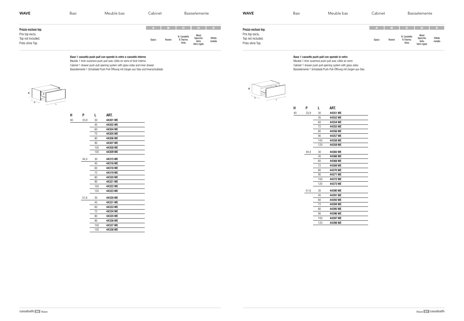

- 
- 

#### Base 1 cassetto push-pull con sponde in vetro e cassetto interno

Meuble 1 tiroir ouverture push-pull avec côtés en verre et tiroir interne Cabinet 1 drawer push-pull opening system with glass sides and inner drawer Basiselemente 1 Schublade Push-Pull-Öffnung mit Zargen aus Glas und Innenschublade



| <b>WAVE</b>                            | Basi | Meuble bas | Cabinet                | Basiselemente                                            | <b>WAVE</b>                            | Basi | Meuble bas | Cabinet                |
|----------------------------------------|------|------------|------------------------|----------------------------------------------------------|----------------------------------------|------|------------|------------------------|
| Prezzo escluso top.<br>Prix top exclu. |      |            |                        | A B C D E<br>Wood<br>N. Canaletto<br>Effetto<br>Specchio | Prezzo escluso top.<br>Prix top exclu. |      |            | $A$ B                  |
| Top not included.<br>Preis ohne Top.   |      |            | <b>Opaco</b><br>Rovere | R.Thermo<br>Vetro<br>metallo<br>Olmo<br>Vetro rigato     | Top not included.<br>Preis ohne Top.   |      |            | Rovere<br><b>Opaco</b> |

# Base 1 cassetto push-pull con sponde in vetro

Meuble 1 tiroir ouverture push-pull avec côtés en verre Cabinet 1 drawer push-pull opening system with glass sides Basiselemente 1 Schublade Push-Pull-Öffnung mit Zargen aus Glas



|      |        |          | .  |      |     |
|------|--------|----------|----|------|-----|
| P    |        | ART.     | 40 | 33,9 | 30  |
|      |        |          |    |      | 45  |
| 33,9 | 30     | 44301 WE |    |      | 60  |
|      | 45     | 44302 WE |    |      | 72  |
|      | 60     | 44304 WE |    |      | 80  |
|      | 72     | 44305 WE |    |      | 90  |
|      | 80     | 44306 WE |    |      | 100 |
|      | 90     | 44307 WE |    |      | 120 |
|      | 100    | 44308 WE |    |      |     |
|      | 120    | 44309 WE |    | 44,4 | 30  |
| 44,4 | $30\,$ | 44315 WE |    |      | 45  |
|      | 45     | 44316 WE |    |      | 60  |
|      | 60     | 44318 WE |    |      | 72  |
|      |        |          |    |      | 80  |
|      | 72     | 44319 WE |    |      | 90  |
|      | 80     | 44320 WE |    |      | 100 |
|      | 90     | 44321 WE |    |      | 120 |
|      | 100    | 44322 WE |    |      |     |
|      | 120    | 44323 WE |    | 51,6 | 30  |
| 51,6 | $30\,$ | 44330 WE |    |      | 45  |
|      | 45     | 44331 WE |    |      | 60  |
|      | 60     | 44333 WE |    |      | 72  |
|      | 72     | 44334 WE |    |      | 80  |
|      | 80     | 44335 WE |    |      | 90  |
|      | 90     | 44336 WE |    |      | 100 |
|      | 100    | 44337 WE |    |      | 120 |
|      |        |          |    |      |     |
|      | 120    | 44338 WE |    |      |     |

| н  | P    | L   | ART.     |
|----|------|-----|----------|
| 40 | 33,9 | 30  | 44351 WE |
|    |      | 45  | 44352 WE |
|    |      | 60  | 44354 WE |
|    |      | 72  | 44355 WE |
|    |      | 80  | 44356 WE |
|    |      | 90  | 44357 WE |
|    |      | 100 | 44358 WE |
|    |      | 120 | 44359 WE |
|    | 44,4 | 30  | 44365 WE |
|    |      | 45  | 44366 WE |
|    |      | 60  | 44368 WE |
|    |      | 72  | 44369 WE |
|    |      | 80  | 44370 WE |
|    |      | 90  | 44371 WE |
|    |      | 100 | 44372 WE |
|    |      | 120 | 44373 WE |
|    | 51,6 | 30  | 44390 WE |
|    |      | 45  | 44391 WE |
|    |      | 60  | 44393 WE |
|    |      | 72  | 44394 WE |
|    |      | 80  | 44395 WE |
|    |      | 90  | 44396 WE |
|    |      | 100 | 44397 WE |
|    |      | 120 | 44398 WE |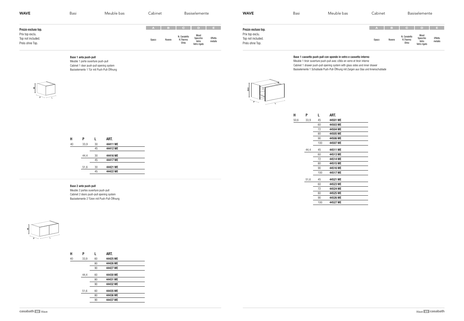# Base 1 anta push-pull

Meuble 1 porte ouverture push-pull Cabinet 1 door push-pull opening system Basiselemente 1 Tür mit Push-Pull-Öffnung



#### Base 2 ante push-pull



Meuble 2 portes ouverture push-pull Cabinet 2 doors push-pull opening system Basiselemente 2 Türen mit Push-Pull-Öffnung



| <b>WAVE</b>                                                                    | Basi | Meuble bas | Cabinet                                                                                                              | Basiselemente                                                                                                    | <b>WAVE</b>                                                                    | Basi | Meuble |
|--------------------------------------------------------------------------------|------|------------|----------------------------------------------------------------------------------------------------------------------|------------------------------------------------------------------------------------------------------------------|--------------------------------------------------------------------------------|------|--------|
| Prezzo escluso top.<br>Prix top exclu.<br>Top not included.<br>Preis ohne Top. |      |            | <b>STATE</b><br>$\overline{\phantom{a}}$ $\overline{\phantom{a}}$ $\overline{\phantom{a}}$<br>Rovere<br><b>Opaco</b> | <b>DE</b><br>Wood<br>N. Canaletto<br>Effetto<br>Specchio<br>R.Thermo<br>Vetro<br>metallo<br>Olmo<br>Vetro rigato | Prezzo escluso top.<br>Prix top exclu.<br>Top not included.<br>Preis ohne Top. |      |        |

Base 1 cassetto push-pull con sponde in vetro e cassetto interno Meuble 1 tiroir ouverture push-pull avec côtés en verre et tiroir interne Cabinet 1 drawer push-pull opening system with glass sides and inner drawer



Basiselemente 1 Schublade Push-Pull-Öffnung mit Zargen aus Glas und Innenschublade

| н  | P    |    | ART.     |  |
|----|------|----|----------|--|
| 40 | 33,9 | 30 | 44411 WE |  |
|    |      | 45 | 44412 WE |  |
|    | 44,4 | 30 | 44416 WE |  |
|    |      | 45 | 44417 WE |  |
|    | 51,6 | 30 | 44421 WE |  |
|    |      | 45 | 44422 WE |  |
|    |      |    |          |  |

| н  | P    | L  | ART.     |
|----|------|----|----------|
| 40 | 33,9 | 60 | 44425 WE |
|    |      | 80 | 44426 WE |
|    |      | 90 | 44427 WE |
|    | 44.4 | 60 | 44430 WE |
|    |      | 80 | 44431 WE |
|    |      | 90 | 44432 WE |
|    | 51,6 | 60 | 44435 WE |
|    |      | 80 | 44436 WE |
|    |      | 90 | 44437 WE |
|    |      |    |          |

| н    | Ρ    | L   | ART.     |
|------|------|-----|----------|
| 50,6 | 33,9 | 45  | 44501 WE |
|      |      | 60  | 44503 WE |
|      |      | 72  | 44504 WE |
|      |      | 80  | 44505 WE |
|      |      | 90  | 44506 WE |
|      |      | 100 | 44507 WE |
|      | 44,4 | 45  | 44511 WE |
|      |      | 60  | 44513 WE |
|      |      | 72  | 44514 WE |
|      |      | 80  | 44515 WF |
|      |      | 90  | 44516 WE |
|      |      | 100 | 44517 WE |
|      | 51,6 | 45  | 44521 WE |
|      |      | 60  | 44523 WE |
|      |      | 72  | 44524 WE |
|      |      | 80  | 44525 WE |
|      |      | 90  | 44526 WE |
|      |      | 100 | 44527 WE |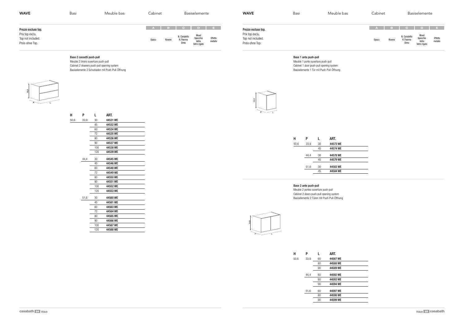$\begin{tabular}{|c|c|c|c|} \hline \quad \quad & \quad \quad & \quad \quad \\ \hline \quad \quad & \quad \quad & \quad \quad \\ \hline \quad \quad & \quad \quad & \quad \quad \\ \hline \quad \quad & \quad \quad & \quad \quad \\ \hline \quad \quad & \quad \quad & \quad \quad \\ \hline \end{tabular}$ 

# Base 2 cassetti push-pull

Meuble 2 tiroirs ouverture push-pull Cabinet 2 drawers push-pull opening system Basiselemente 2 Schubladen mit Push-Pull-Öffnung



| <b>WAVE</b>                                                                    | Basi | Meuble bas | Cabinet                | Basiselemente                                                                                                      | <b>WAVE</b>                                                                    | Basi | Meuble bas | Cabinet              | Basiselemente                                                                                                                         |
|--------------------------------------------------------------------------------|------|------------|------------------------|--------------------------------------------------------------------------------------------------------------------|--------------------------------------------------------------------------------|------|------------|----------------------|---------------------------------------------------------------------------------------------------------------------------------------|
| Prezzo escluso top.<br>Prix top exclu.<br>Top not included.<br>Preis ohne Top. |      |            | A B<br>Rovere<br>Opaco | <b>CODE</b><br>Wood<br>N. Canaletto<br>Effetto<br>metallo<br>Specchio<br>R.Thermo<br>Vetro<br>Olmo<br>Vetro rigato | Prezzo escluso top.<br>Prix top exclu.<br>Top not included.<br>Preis ohne Top. |      |            | A<br>Rovere<br>Opaco | $\sqrt{B}$ c D<br><b>STATE</b><br>Wood<br>N. Canaletto<br>Effetto<br>Specchio<br>R.Thermo<br>Olmo<br>metallo<br>Vetro<br>Vetro rigato |

Base 1 anta push-pull Meuble 1 porte ouverture push-pull Cabinet 1 door push-pull opening system Basiselemente 1 Tür mit Push-Pull-Öffnung

## Base 2 ante push-pull

Meuble 2 portes ouverture push-pull Cabinet 2 doors push-pull opening system Basiselemente 2 Türen mit Push-Pull-Öffnung





| н    | P    | L   | ART.     |
|------|------|-----|----------|
| 50,6 | 33,9 | 30  | 44531 WE |
|      |      | 45  | 44532 WE |
|      |      | 60  | 44534 WE |
|      |      | 72  | 44535 WE |
|      |      | 80  | 44536 WE |
|      |      | 90  | 44537 WE |
|      |      | 100 | 44538 WE |
|      |      | 120 | 44539 WE |
|      |      |     |          |
|      | 44,4 | 30  | 44545 WE |
|      |      | 45  | 44546 WE |
|      |      | 60  | 44548 WE |
|      |      | 72  | 44549 WE |
|      |      | 80  | 44550 WE |
|      |      | 90  | 44551 WE |
|      |      | 100 | 44552 WE |
|      |      | 120 | 44553 WE |
|      | 51,6 | 30  | 44560 WE |
|      |      | 45  | 44561 WE |
|      |      | 60  | 44563 WE |
|      |      | 72  | 44564 WE |
|      |      | 80  | 44565 WE |
|      |      | 90  | 44566 WE |
|      |      | 100 | 44567 WE |
|      |      | 120 | 44568 WE |
|      |      |     |          |

| ART.     | L  | P    | н    |  |
|----------|----|------|------|--|
| 44573 WE | 30 | 33,9 | 50,6 |  |
| 44574 WE | 45 |      |      |  |
| 44578 WE | 30 | 44,4 |      |  |
| 44579 WE | 45 |      |      |  |
| 44583 WE | 30 | 51,6 |      |  |
| 44584 WE | 45 |      |      |  |
|          |    |      |      |  |

| н    | P    | L  | ART.     |
|------|------|----|----------|
| 50,6 | 33,9 | 60 | 44587 WE |
|      |      | 80 | 44588 WE |
|      |      | 90 | 44589 WE |
|      | 44.4 | 60 | 44592 WE |
|      |      | 80 | 44593 WE |
|      |      | 90 | 44594 WE |
|      | 51,6 | 60 | 44597 WE |
|      |      | 80 | 44598 WE |
|      |      | 90 | 44599 WE |
|      |      |    |          |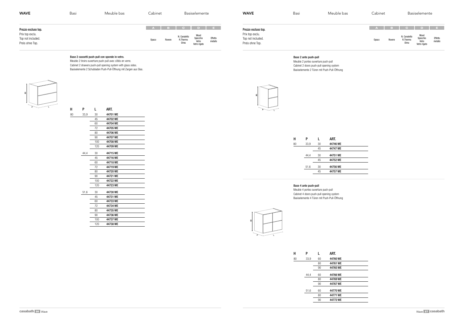$\begin{tabular}{|c|c|c|} \hline \quad \quad & \quad \quad & \quad \quad \\ \hline \quad \quad & \quad \quad & \quad \quad \\ \hline \quad \quad & \quad \quad & \quad \quad \\ \hline \quad \quad & \quad \quad & \quad \quad \\ \hline \quad \quad & \quad \quad & \quad \quad \\ \hline \end{tabular}$ 

## Base 2 cassetti push-pull con sponde in vetro.

80

 $H$ 

Meuble 2 tiroirs ouverture push-pull avec côtés en verre. Cabinet 2 drawers push-pull opening system with glass sides. Basiselemente 2 Schubladen Push-Pull-Öffnung mit Zargen aus Glas.



| <b>WAVE</b>                                                                    | Basi | Meuble bas | Cabinet                  | Basiselemente                                                                                                | <b>WAVE</b>                                                                    | Basi | Meuble bas | Cabinet                         | Basiselemente                                                                                                                                                     |
|--------------------------------------------------------------------------------|------|------------|--------------------------|--------------------------------------------------------------------------------------------------------------|--------------------------------------------------------------------------------|------|------------|---------------------------------|-------------------------------------------------------------------------------------------------------------------------------------------------------------------|
| Prezzo escluso top.<br>Prix top exclu.<br>Top not included.<br>Preis ohne Top. |      |            | A B B<br>Rovere<br>Opaco | C D E<br>Wood<br>N. Canaletto<br>Effetto<br>metallo<br>Specchio<br>R.Thermo<br>Vetro<br>Olmo<br>Vetro rigato | Prezzo escluso top.<br>Prix top exclu.<br>Top not included.<br>Preis ohne Top. |      |            | $\mathbf{A}$<br>Rovere<br>Opaco | $\sqrt{a}$ B $\sqrt{a}$ C $\sqrt{a}$ D $\sqrt{a}$<br>in Bo<br>Wood<br>N. Canaletto<br>Effetto<br>Specchio<br>R.Thermo<br>Olmo<br>metallo<br>Vetro<br>Vetro rigato |

## Base 2 ante push-pull

Meuble 2 portes ouverture push-pull Cabinet 2 doors push-pull opening system Basiselemente 2 Türen mit Push-Pull-Öffnung



#### Base 4 ante push-pull

Meuble 4 portes ouverture push-pull Cabinet 4 doors push-pull opening system Basiselemente 4 Türen mit Push-Pull-Öffnung



| Н  | P    | L   | ART.     |
|----|------|-----|----------|
| 80 | 33,9 | 30  | 44701 WE |
|    |      | 45  | 44702 WE |
|    |      | 60  | 44704 WE |
|    |      | 72  | 44705 WE |
|    |      | 80  | 44706 WE |
|    |      | 90  | 44707 WE |
|    |      | 100 | 44708 WE |
|    |      | 120 | 44709 WE |
|    | 44,4 | 30  | 44715 WE |
|    |      | 45  | 44716 WE |
|    |      | 60  | 44718 WE |
|    |      | 72  | 44719 WE |
|    |      | 80  | 44720 WE |
|    |      | 90  | 44721 WE |
|    |      | 100 | 44722 WE |
|    |      | 120 | 44723 WE |
|    | 51,6 | 30  | 44730 WE |
|    |      | 45  | 44731 WE |
|    |      | 60  | 44733 WE |
|    |      | 72  | 44734 WE |
|    |      | 80  | 44735 WE |
|    |      | 90  | 44736 WE |
|    |      | 100 | 44737 WE |
|    |      | 120 | 44738 WE |
|    |      |     |          |

| ART.     | L  | P    | н  |
|----------|----|------|----|
| 44746 WE | 30 | 33,9 | 80 |
| 44747 WE | 45 |      |    |
| 44751 WE | 30 | 44,4 |    |
| 44752 WE | 45 |      |    |
| 44756 WE | 30 | 51,6 |    |
| 44757 WE | 45 |      |    |
|          |    |      |    |

| н  | P    | L  | ART.     |
|----|------|----|----------|
| 80 | 33,9 | 60 | 44760 WE |
|    |      | 80 | 44761 WE |
|    |      | 90 | 44765 WE |
|    | 44.4 | 60 | 44766 WE |
|    |      | 80 | 44769 WE |
|    |      | 90 | 44767 WE |
|    | 51,6 | 60 | 44770 WE |
|    |      | 80 | 44771 WE |
|    |      | 90 | 44772 WE |
|    |      |    |          |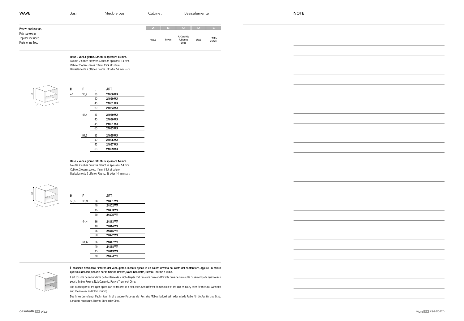Base 2 vani a giorno. Struttura spessore 14 mm.

Meuble 2 niches ouvertes. Structure épaisseur 14 mm. Cabinet 2 open spaces. 14mm thick structure. Basiselemente 2 offenen Räume. Struktur 14 mm stark.

#### Base 2 vani a giorno. Struttura spessore 14 mm.

Meuble 2 niches ouvertes. Structure épaisseur 14 mm. Cabinet 2 open spaces. 14mm thick structure. Basiselemente 2 offenen Räume. Struktur 14 mm stark.





È possibile richiedere l'interno del vano giorno, laccato opaco in un colore diverso dal resto del contenitore, oppure un colore qualsiasi del campionario per le finiture Rovere, Noce Canaletto, Rovere Thermo e Olmo.

| <b>WAVE</b>                                             | Basi | Meuble bas | Cabinet      |        |                                  | Basiselemente |                    | <b>NOTE</b> |
|---------------------------------------------------------|------|------------|--------------|--------|----------------------------------|---------------|--------------------|-------------|
| Prezzo escluso top.                                     |      |            |              |        |                                  |               |                    |             |
| Prix top exclu.<br>Top not included.<br>Preis ohne Top. |      |            | <b>Opaco</b> | Rovere | N. Canaletto<br>R.Thermo<br>Olmo | Wood          | Effetto<br>metallo |             |

Il est possible de demander la partie interne de la niche laquée mat dans une couleur différente du reste du meuble ou de n'importe quel couleur pour la finition Rouvre, Noix Canaletto, Rouvre Thermo et Olmo.

The internal part of the open space can be realized in a mat color even different from the rest of the unit or in any color for the Oak, Canaletto nut, Thermo oak and Olmo finishing.

Das Innen des offenen Fachs, kann in eine andere Farbe als der Rest des Möbels lackiert sein oder in jede Farbe für die Ausführung Eiche, Canaletto Nussbaum, Thermo Eiche oder Olmo.

40 33,9 36 24050 WA

| н    | P    | L  | ART.     |
|------|------|----|----------|
| 50,6 | 33,9 | 36 | 24801 WA |
|      |      | 40 | 24802 WA |
|      |      | 45 | 24803 WA |
|      |      | 60 | 24805 WA |
|      | 44.4 | 36 | 24813 WA |
|      |      | 40 | 24814 WA |
|      |      | 45 | 24815 WA |
|      |      | 60 | 24822 WA |
|      | 51,6 | 36 | 24817 WA |
|      |      | 40 | 24818 WA |
|      |      | 45 | 24819 WA |
|      |      | 60 | 24823 WA |
|      |      |    |          |



| н  | P    | L  | ART.     |
|----|------|----|----------|
| 40 | 33,9 | 36 | 24050 WA |
|    |      | 40 | 24060 WA |
|    |      | 45 | 24061 WA |
|    |      | 60 | 24063 WA |
|    | 44,4 | 36 | 24080 WA |
|    |      | 40 | 24090 WA |
|    |      | 45 | 24091 WA |
|    |      | 60 | 24093 WA |
|    | 51,6 | 36 | 24095 WA |
|    |      | 40 | 24096 WA |
|    |      | 45 | 24097 WA |
|    |      | 60 | 24099 WA |
|    |      |    |          |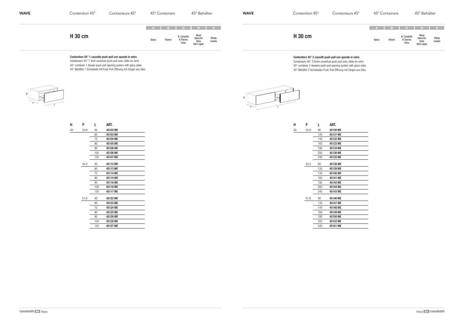# Contenitore 45° 1 cassetto push-pull con sponde in vetro

Containeurs 45° 1 tiroir ouverture push-pull avec côtés en verre 45° container 1 drawer push-pull opening system with glass sides 45° Behälter 1 Schublade mit Push-Pull-Öffnung mit Zargen aus Glas

| <b>WAVE</b> | Contenitori 45° | Containeurs 45° | 45° Containers  |                                  | 45° Behälter                              |                    | <b>WAVE</b> | Contenitori 45° | Containeurs 45° |       | 45° Containers |                                  | 45° Behälter                              |                    |
|-------------|-----------------|-----------------|-----------------|----------------------------------|-------------------------------------------|--------------------|-------------|-----------------|-----------------|-------|----------------|----------------------------------|-------------------------------------------|--------------------|
|             |                 |                 | ABCDE           |                                  |                                           |                    |             |                 |                 |       |                | , а I в I с I'                   | $D \cup E$                                |                    |
|             | H 30 cm         |                 | Opaco<br>Rovere | N. Canaletto<br>R.Thermo<br>Olmo | Wood<br>Specchio<br>Vetro<br>Vetro rigato | Effetto<br>metallo |             | H 30 cm         |                 | Opaco | Rovere         | N. Canaletto<br>R.Thermo<br>Olmo | Wood<br>Specchio<br>Vetro<br>Vetro rigato | Effetto<br>metallo |
|             |                 |                 |                 |                                  |                                           |                    |             |                 |                 |       |                |                                  |                                           |                    |



# Contenitore 45° 2 cassetti push-pull con sponde in vetro

Containeurs 45° 2 tiroirs ouverture push-pull avec côtés en verre 45° container 2 drawers push-pull opening system with glass sides 45° Behälter 2 Schubladen Push-Pull-Öffnung mit Zargen aus Glas

| н  | P    | L   | art.     |
|----|------|-----|----------|
| 30 | 33,9 | 45  | 45102 WE |
|    |      | 60  | 45103 WE |
|    |      | 72  | 45104 WE |
|    |      | 80  | 45105 WE |
|    |      | 90  | 45106 WE |
|    |      | 100 | 45108 WE |
|    |      | 120 | 45107 WE |
|    | 44,4 | 45  | 45112 WE |
|    |      | 60  | 45113 WE |
|    |      | 72  | 45114 WE |
|    |      | 80  | 45115 WE |
|    |      | 90  | 45116 WE |
|    |      | 100 | 45118 WE |
|    |      | 120 | 45117 WE |
|    | 51,6 | 45  | 45122 WE |
|    |      | 60  | 45123 WE |
|    |      | 72  | 45124 WE |
|    |      | 80  | 45125 WE |
|    |      | 90  | 45126 WE |
|    |      | 100 | 45128 WE |
|    |      | 120 | 45127 WE |

| н  | P    | L   | art.     |
|----|------|-----|----------|
| 30 | 33,9 | 90  | 45130 WE |
|    |      | 120 | 45131 WE |
|    |      | 144 | 45132 WE |
|    |      | 160 | 45133 WE |
|    |      | 180 | 45134 WE |
|    |      | 200 | 45136 WE |
|    |      | 240 | 45135 WE |
|    | 44,4 | 90  | 45138 WE |
|    |      | 120 | 45139 WE |
|    |      | 144 | 45140 WE |
|    |      | 160 | 45141 WE |
|    |      | 180 | 45142 WE |
|    |      | 200 | 45144 WE |
|    |      | 240 | 45143 WE |
|    | 51,6 | 90  | 45146 WE |
|    |      | 120 | 45147 WE |
|    |      | 144 | 45148 WE |
|    |      | 160 | 45149 WE |
|    |      | 180 | 45150 WE |
|    |      | 200 | 45152 WE |
|    |      | 240 | 45151 WE |
|    |      |     |          |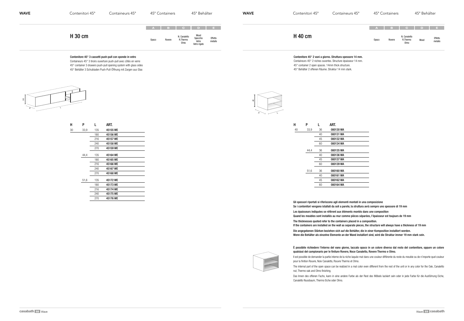# Contenitore 45° 3 cassetti push-pull con sponde in vetro

Containeurs 45° 3 tiroirs ouverture push-pull avec côtés en verre 45° container 3 drawers push-pull opening system with glass sides 45° Behälter 3 Schubladen Push-Pull-Öffnung mit Zargen aus Glas





#### È possibile richiedere l'interno del vano giorno, laccato opaco in un colore diverso dal resto del contenitore, oppure un colore qualsiasi del campionario per le finiture Rovere, Noce Canaletto, Rovere Thermo e Olmo.

- Il est possible de demander la partie interne de la niche laquée mat dans une couleur différente du reste du meuble ou de n'importe quel couleur
- The internal part of the open space can be realized in a mat color even different from the rest of the unit or in any color for the Oak, Canaletto

pour la finition Rouvre, Noix Canaletto, Rouvre Thermo et Olmo. nut, Thermo oak and Olmo finishing.

| <b>WAVE</b> | Contenitori 45° | Containeurs 45° | 45° Containers                           |        |                                  | 45° Behälter                              |                    | <b>WAVE</b> | Contenitori 45° | Containeurs 45° |       | 45° Containers |                                               | 45° Behälter |                    |
|-------------|-----------------|-----------------|------------------------------------------|--------|----------------------------------|-------------------------------------------|--------------------|-------------|-----------------|-----------------|-------|----------------|-----------------------------------------------|--------------|--------------------|
|             | H 30 cm         |                 | $A \mid B \mid C \mid D \mid E$<br>Opaco | Rovere | N. Canaletto<br>R.Thermo<br>Olmo | Wood<br>Specchio<br>Vetro<br>Vetro rigato | Effetto<br>metallo |             | H 40 cm         |                 | Opaco | Rovere         | A B C D E<br>N. Canaletto<br>R.Thermo<br>Olmo | Wood         | Effetto<br>metallo |
|             |                 |                 |                                          |        |                                  |                                           |                    |             |                 |                 |       |                |                                               |              |                    |

Das Innen des offenen Fachs, kann in eine andere Farbe als der Rest des Möbels lackiert sein oder in jede Farbe für die Ausführung Eiche, Canaletto Nussbaum, Thermo Eiche oder Olmo.



Gli spessori riportati si riferiscono agli elementi montati in una composizione Les épaisseurs indiquées se réfèrent aux éléments montés dans une composition

The thicknesses quoted refer to the containers placed in a composition.

- 
- Se i contenitori vengono istallati da soli a parete, la struttura avrà sempre uno spessore di 19 mm
	-
- Quand les meubles sont installés au mur comme pièces séparées, l'épaisseur est toujours de 19 mm
	-
- If the containers are installed on the wall as separate pieces, the structure will always have a thickness of 19 mm
- Die angegebenen Stärken beziehen sich auf die Behälter, die in einer Komposition installiert werden.
- Wenn die Behälter als einzelne Elemente an der Wand installiert sind, wird die Struktur immer 19 mm stark sein.
- Contenitore 45° 2 vani a giorno. Struttura spessore 14 mm.
- Containeurs 45° 2 niches ouvertes. Structure épaisseur 14 mm. 45° container 2 open spaces. 14mm thick structure. 45° Behälter 2 offenen Räume. Struktur 14 mm stark.

| н  | P    | L   | ART.     |  |
|----|------|-----|----------|--|
| 30 | 33,9 | 135 | 45155 WE |  |
|    |      | 180 | 45156 WE |  |
|    |      | 216 | 45157 WE |  |
|    |      | 240 | 45158 WE |  |
|    |      | 270 | 45159 WE |  |
|    | 44,4 | 135 | 45164 WE |  |
|    |      | 180 | 45165 WE |  |
|    |      | 216 | 45166 WE |  |
|    |      | 240 | 45167 WE |  |
|    |      | 270 | 45168 WE |  |
|    | 51,6 | 135 | 45172 WE |  |
|    |      | 180 | 45173 WE |  |
|    |      | 216 | 45174 WE |  |
|    |      | 240 | 45175 WE |  |
|    |      | 270 | 45176 WE |  |
|    |      |     |          |  |

| н  | P    |    | ART.      |  |
|----|------|----|-----------|--|
| 40 | 33,9 | 36 | 080130 WA |  |
|    |      | 40 | 080131 WA |  |
|    |      | 45 | 080132 WA |  |
|    |      | 60 | 080134 WA |  |
|    | 44,4 | 36 | 080135 WA |  |
|    |      | 40 | 080136 WA |  |
|    |      | 45 | 080137 WA |  |
|    |      | 60 | 080139 WA |  |
|    | 51,6 | 36 | 080160 WA |  |
|    |      | 40 | 080161 WA |  |
|    |      | 45 | 080162 WA |  |
|    |      | 60 | 080164 WA |  |
|    |      |    |           |  |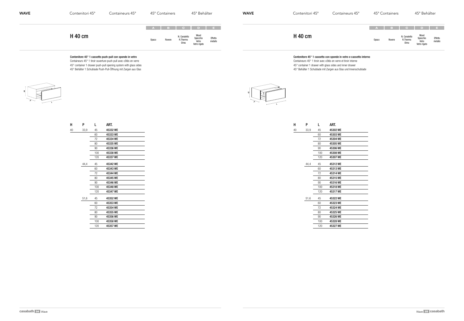# Contenitore 45° 1 cassetto push-pull con sponde in vetro

Containeurs 45° 1 tiroir ouverture push-pull avec côtés en verre 45° container 1 drawer push-pull opening system with glass sides 45° Behälter 1 Schublade Push-Pull-Öffnung mit Zargen aus Glas



| <b>WAVE</b> | Contenitori 45° | Containeurs 45° | 45° Containers                                                   | 45° Behälter                                                    | <b>WAVE</b> | Contenitori 45° | Containeurs 45° |                    | 45° Containers |                                  | 45° Behälter                                     |                    |
|-------------|-----------------|-----------------|------------------------------------------------------------------|-----------------------------------------------------------------|-------------|-----------------|-----------------|--------------------|----------------|----------------------------------|--------------------------------------------------|--------------------|
|             | H 40 cm         |                 | A B C D E<br>N. Canaletto<br>R.Thermo<br>Opaco<br>Rovere<br>Olmo | Wood<br>Effetto<br>metallo<br>Specchio<br>Vetro<br>Vetro rigato |             | <b>H</b> 40 cm  |                 | $A$ B $c$<br>Opaco | Rovere         | N. Canaletto<br>R.Thermo<br>Olmo | D E<br>Wood<br>Specchio<br>Vetro<br>Vetro rigato | Effetto<br>metallo |
|             |                 |                 |                                                                  |                                                                 |             |                 |                 |                    |                |                                  |                                                  |                    |

# Contenitore 45° 1 cassetto con sponde in vetro e cassetto interno

Containeurs 45° 1 tiroir avec côtés en verre et tiroir interne

45° container 1 drawer with glass sides and inner drawer

45° Behälter 1 Schublade mit Zargen aus Glas und Innenschublade

| $\overline{a}$ |  |
|----------------|--|
|                |  |

| н  | P    | L   | ART.     |
|----|------|-----|----------|
| 40 | 33,9 | 45  | 45332 WE |
|    |      | 60  | 45333 WE |
|    |      | 72  | 45334 WE |
|    |      | 80  | 45335 WE |
|    |      | 90  | 45336 WE |
|    |      | 100 | 45338 WE |
|    |      | 120 | 45337 WE |
|    | 44,4 | 45  | 45342 WE |
|    |      | 60  | 45343 WE |
|    |      | 72  | 45344 WE |
|    |      | 80  | 45345 WE |
|    |      | 90  | 45346 WE |
|    |      | 100 | 45348 WE |
|    |      | 120 | 45347 WE |
|    | 51,6 | 45  | 45352 WE |
|    |      | 60  | 45353 WE |
|    |      | 72  | 45354 WE |
|    |      | 80  | 45355 WE |
|    |      | 90  | 45356 WE |
|    |      | 100 | 45358 WE |
|    |      | 120 | 45357 WE |

| н  | P    | L   | art.     |
|----|------|-----|----------|
| 40 | 33,9 | 45  | 45302 WE |
|    |      | 60  | 45303 WE |
|    |      | 72  | 45304 WE |
|    |      | 80  | 45305 WE |
|    |      | 90  | 45306 WE |
|    |      | 100 | 45308 WE |
|    |      | 120 | 45307 WE |
|    | 44,4 | 45  | 45312 WE |
|    |      | 60  | 45313 WE |
|    |      | 72  | 45314 WE |
|    |      | 80  | 45315 WE |
|    |      | 90  | 45316 WE |
|    |      | 100 | 45318 WE |
|    |      | 120 | 45317 WE |
|    | 51,6 | 45  | 45322 WE |
|    |      | 60  | 45323 WE |
|    |      | 72  | 45324 WE |
|    |      | 80  | 45325 WE |
|    |      | 90  | 45326 WE |
|    |      | 100 | 45328 WE |
|    |      | 120 | 45327 WE |
|    |      |     |          |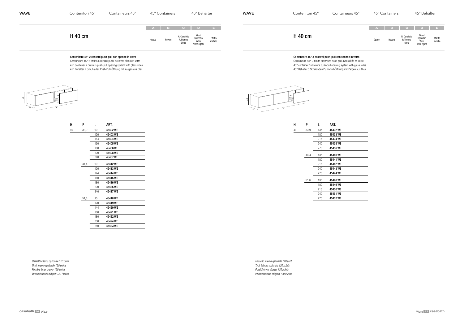# Contenitore 45° 2 cassetti push-pull con sponde in vetro

Containeurs 45° 2 tiroirs ouverture push-pull avec côtés en verre 45° container 2 drawers push-pull opening system with glass sides 45° Behälter 2 Schubladen Push-Pull-Öffnung mit Zargen aus Glas



*Cassetto interno opzionale 120 punti Tiroir interne opzionale 120 points Possible inner drawer 120 points Innenschublade möglich 120 Punkte*

| <b>WAVE</b> | Contenitori 45° | Containeurs 45° | 45° Containers |        |                                  | 45° Behälter                              |                    | <b>WAVE</b> | Contenitori 45° | Containeurs 45° |       | 45° Containers |                                  | 45° Behälter                              |                    |
|-------------|-----------------|-----------------|----------------|--------|----------------------------------|-------------------------------------------|--------------------|-------------|-----------------|-----------------|-------|----------------|----------------------------------|-------------------------------------------|--------------------|
|             |                 |                 | A B C D E      |        |                                  |                                           |                    |             |                 |                 |       |                |                                  | ABCO DE                                   |                    |
|             | <b>H</b> 40 cm  |                 | Opaco          | Rovere | N. Canaletto<br>R.Thermo<br>Olmo | Wood<br>Specchio<br>Vetro<br>Vetro rigato | Effetto<br>metallo |             | <b>H</b> 40 cm  |                 | Opaco | Rovere         | N. Canaletto<br>R.Thermo<br>Olmo | Wood<br>Specchio<br>Vetro<br>Vetro rigato | Effetto<br>metallo |

Contenitore 45° 3 cassetti push-pull con sponde in vetro Containeurs 45° 3 tiroirs ouverture push-pull avec côtés en verre 45° container 3 drawers push-pull opening system with glass sides 45° Behälter 3 Schubladen Push-Pull-Öffnung mit Zargen aus Glas

*Cassetto interno opzionale 120 punti Tiroir interne opzionale 120 points Possible inner drawer 120 points Innenschublade möglich 120 Punkte*



| н  | P    | L   | ART.     |
|----|------|-----|----------|
| 40 | 33,9 | 90  | 45402 WE |
|    |      | 120 | 45403 WE |
|    |      | 144 | 45404 WE |
|    |      | 160 | 45405 WE |
|    |      | 180 | 45406 WE |
|    |      | 200 | 45408 WE |
|    |      | 240 | 45407 WE |
|    | 44,4 | 90  | 45412 WE |
|    |      | 120 | 45413 WE |
|    |      | 144 | 45414 WE |
|    |      | 160 | 45415 WE |
|    |      | 180 | 45416 WE |
|    |      | 200 | 45425 WE |
|    |      | 240 | 45417 WE |
|    | 51,6 | 90  | 45418 WE |
|    |      | 120 | 45419 WE |
|    |      | 144 | 45420 WE |
|    |      | 160 | 45421 WE |
|    |      | 180 | 45422 WE |
|    |      | 200 | 45424 WE |
|    |      | 240 | 45423 WE |
|    |      |     |          |

| н  | P    | L   | ART.     |
|----|------|-----|----------|
| 40 | 33,9 | 135 | 45432 WE |
|    |      | 180 | 45433 WE |
|    |      | 216 | 45434 WE |
|    |      | 240 | 45435 WE |
|    |      | 270 | 45436 WE |
|    | 44,4 | 135 | 45440 WE |
|    |      | 180 | 45441 WE |
|    |      | 216 | 45442 WE |
|    |      | 240 | 45443 WE |
|    |      | 270 | 45444 WE |
|    | 51,6 | 135 | 45448 WE |
|    |      | 180 | 45449 WE |
|    |      | 216 | 45450 WE |
|    |      | 240 | 45451 WE |
|    |      | 270 | 45452 WE |
|    |      |     |          |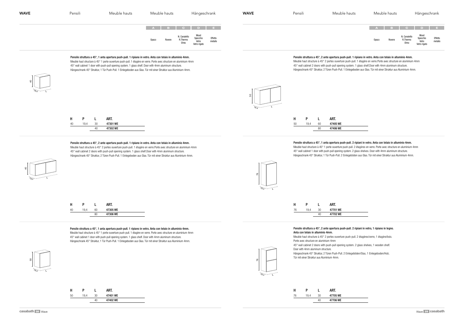#### Pensile struttura a 45°, 1 anta apertura push-pull. 1 ripiano in vetro. Anta con telaio in alluminio 4mm.

Meuble haut structure à 45° 1 porte ouverture push-pull. 1 étagère en verre. Porte avec structure en aluminium 4mm 45° wall cabinet 1 door with push-pull opening system. 1 glass shelf. Door with 4mm aluminum structure. Hängeschrank 45° Struktur, 1 Tür Push-Pull. 1 Einlegeboden aus Glas. Tür mit einer Struktur aus Aluminium 4mm.

#### Pensile struttura a 45°, 2 ante apertura push-pull. 1 ripiano in vetro. Anta con telaio in alluminio 4mm.

| <b>WAVE</b> | Pensili | Meuble hauts | Meuble hauts |        | Hängeschrank<br><b>WAVE</b>                   |                                           |                    |  | Pensili | Meub |
|-------------|---------|--------------|--------------|--------|-----------------------------------------------|-------------------------------------------|--------------------|--|---------|------|
|             |         |              | Opaco        | Rovere | A B C D E<br>N. Canaletto<br>R.Thermo<br>Olmo | Wood<br>Specchio<br>Vetro<br>Vetro rigato | Effetto<br>metallo |  |         |      |
|             |         |              |              |        |                                               |                                           |                    |  |         |      |

Meuble haut structure à 45° 2 portes ouverture push-pull. 1 étagère en verre.Porte avec structure en aluminium 4mm 45° wall cabinet 2 doors with push-pull opening system. 1 glass shelf.Door with 4mm aluminum structure. Hängeschrank 45° Struktur, 2 Türen Push-Pull. 1 Einlegeboden aus Glas. Tür mit einer Struktur aus Aluminium 4mm.

Pensile struttura a 45°, 1 anta apertura push-pull. 1 ripiano in vetro. Anta con telaio in alluminio 4mm. Meuble haut structure à 45° 1 porte ouverture push-pull. 1 étagère en verre. Porte avec structure en aluminium 4mm 45° wall cabinet 1 door with push-pull opening system. 1 glass shelf. Door with 4mm aluminum structure. Hängeschrank 45° Struktur, 1 Tür Push-Pull. 1 Einlegeboden aus Glas. Tür mit einer Struktur aus Aluminium 4mm.









#### Pensile struttura a 45°, 2 ante apertura push-pull. 1 ripiano in vetro. Anta con telaio in alluminio 4mm.

Meuble haut structure à 45° 2 portes ouverture push-pull. 1 étagère en verre.Porte avec structure en aluminium 4mm



Hängeschrank 45° Struktur, 2 Türen Push-Pull. 1 Einlegeboden aus Glas. Tür mit einer Struktur aus Aluminium 4mm.

#### Pensile struttura a 45°, 2 ante apertura push-pull. 2 ripiani in vetro, 1 ripiano in legno. Anta con telaio in alluminio 4mm.

Meuble haut structure à 45° 2 portes ouverture push-pull. 2 étagères/verre, 1 étagère/bois. Porte avec structure en aluminium 4mm 45° wall cabinet 2 doors with push-pull opening system. 2 glass shelves, 1 wooden shelf. Door with 4mm aluminum structure. Hängeschrank 45° Struktur, 2 Türen Push-Pull. 2 Einlegeböden/Glas, 1 Einlegeboden/Holz. Tür mit einer Struktur aus Aluminium 4mm.

Pensile struttura a 45°, 1 anta apertura push-pull. 2 ripiani in vetro. Anta con telaio in alluminio 4mm.

Meuble haut structure à 45° 1 porte ouverture push-pull. 2 étagères en verre. Porte avec structure en aluminium 4mm 45° wall cabinet 1 door with push-pull opening system. 2 glass shelves. Door with 4mm aluminum structure. Hängeschrank 45° Struktur, 1 Tür Push-Pull. 2 Einlegeböden aus Glas. Tür mit einer Struktur aus Aluminium 4mm.



 $19,4$ 



76

| Н  |      |    | ART.     |  |
|----|------|----|----------|--|
| 40 | 19.4 | 30 | 47301 WE |  |
|    |      | 40 | 47302 WE |  |
|    |      |    |          |  |

|    | D    |    | ART.     |
|----|------|----|----------|
| 40 | 19.4 | 60 | 47305 WE |
|    |      | 80 | 47306 WE |

| Н  | D    |    | ART.     |  |
|----|------|----|----------|--|
| 50 | 19.4 | 30 | 47401 WE |  |
|    |      | 40 | 47402 WE |  |
|    |      |    |          |  |

| н  | D    |    | ART.     |
|----|------|----|----------|
| 50 | 19.4 | 60 | 47405 WE |
|    |      | 80 | 47406 WE |

| ART.     |    | P    | н  |
|----------|----|------|----|
| 47701 WE | 30 | 19.4 | 76 |
| 47702 WE | 40 |      |    |
|          |    |      |    |

| ART.     |    | D    | н  |  |
|----------|----|------|----|--|
| 47705 WE | 30 | 19.4 | 76 |  |
| 47706 WE | 40 |      |    |  |
|          |    |      |    |  |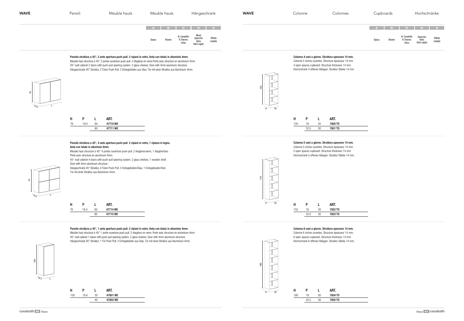

#### Pensile struttura a 45°, 2 ante apertura push-pull. 2 ripiani in vetro. Anta con telaio in alluminio 4mm. Meuble haut structure à 45° 2 portes ouverture push-pull. 2 étagères en verre.Porte avec structure en aluminium 4mm

## Pensile struttura a 45°, 4 ante apertura push-pull. 2 ripiani in vetro, 1 ripiano in legno. Anta con telaio in alluminio 4mm.

45° wall cabinet 2 doors with push-pull opening system. 2 glass shelves. Door with 4mm aluminum structure. Hängeschrank 45° Struktur, 2 Türen Push-Pull. 2 Einlegeböden aus Glas. Tür mit einer Struktur aus Aluminium 4mm.

Meuble haut structure à 45° 4 portes ouverture push-pull. 2 étagères/verre, 1 étagère/bois. Porte avec structure en aluminium 4mm



| <b>WAVE</b> | Pensili | Meuble hauts |              | Meuble hauts | Hängeschrank                                  |                                           | <b>WAVE</b>        | Colonne | Cold |  |
|-------------|---------|--------------|--------------|--------------|-----------------------------------------------|-------------------------------------------|--------------------|---------|------|--|
|             |         |              | <b>Opaco</b> | Rovere       | A B C D E<br>N. Canaletto<br>R.Thermo<br>Olmo | Wood<br>Specchio<br>Vetro<br>Vetro rigato | Effetto<br>metallo |         |      |  |

45° wall cabinet 4 doors with push-pull opening system. 2 glass shelves, 1 wooden shelf. Door with 4mm aluminum structure.

Hängeschrank 45° Struktur, 4 Türen Push-Pull. 2 Einlegeböden/Glas, 1 Einlegeboden/Holz. Tür mit einer Struktur aus Aluminium 4mm.









# Colonna 4 vani a giorno. Struttura spessore 14 mm.

Colonne 4 niches ouvertes. Structure épaisseur 14 mm. 4 open spaces cupboard. Structure thickness 14 mm. Hochschrank 4 offenen Ablagen. Struktur Stärke 14 mm.

## Colonna 5 vani a giorno. Struttura spessore 14 mm.

Colonne 5 niches ouvertes. Structure épaisseur 14 mm. 5 open spaces cupboard. Structure thickness 14 mm. Hochschrank 5 offenen Ablagen. Struktur Stärke 14 mm.

#### Colonna 6 vani a giorno. Struttura spessore 14 mm.

Colonne 6 niches ouvertes. Structure épaisseur 14 mm. 6 open spaces cupboard. Structure thickness 14 mm. Hochschrank 6 offenen Ablagen. Struktur Stärke 14 mm.







|    | D    |    | ART.     |
|----|------|----|----------|
| 76 | 19.4 | 60 | 47710 WE |
|    |      | 80 | 47711 WE |
|    |      |    |          |

|    | D    |    | ART.     |
|----|------|----|----------|
| 76 | 19.4 | 60 | 47714 WE |
|    |      | 80 | 47715 WE |



152 18 30 7802 TD 32,5 30 7803 TD H P L ART.

| н   | P    |    | ART.    |
|-----|------|----|---------|
| 120 | 18   | 30 | 7800 TD |
|     | 32,5 | 30 | 7801 TD |
|     |      |    |         |

| н   | P    | L  | ART.    |
|-----|------|----|---------|
| 180 | 18   | 30 | 7804 TD |
|     | 32,5 | 30 | 7805 TD |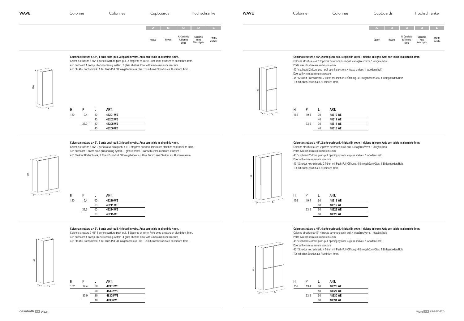# Colonna struttura a 45°, 1 anta push-pull. 3 ripiani in vetro. Anta con telaio in alluminio 4mm.

Colonne structure à 45° 1 porte ouverture push-pull. 3 étagères en verre. Porte avec structure en aluminium 4mm. 45° cupboard 1 door push-pull opening system. 3 glass shelves. Door with 4mm aluminum structure. 45° Struktur Hochschrank, 1 Tür Push-Pull. 3 Einlegeböden aus Glas. Tür mit einer Struktur aus Aluminium 4mm.

#### Colonna struttura a 45°, 2 ante push-pull. 3 ripiani in vetro. Anta con telaio in alluminio 4mm.

Colonne structure à 45° 2 portes ouverture push-pull. 3 étagères en verre. Porte avec structure en aluminium 4mm. 45° cupboard 2 doors push-pull opening system. 3 glass shelves. Door with 4mm aluminum structure. 45° Struktur Hochschrank, 2 Türen Push-Pull. 3 Einlegeböden aus Glas. Tür mit einer Struktur aus Aluminium 4mm.

Colonna struttura a 45°, 1 anta push-pull. 4 ripiani in vetro. Anta con telaio in alluminio 4mm.

Colonne structure à 45° 1 porte ouverture push-pull. 4 étagères en verre. Porte avec structure en aluminium 4mm.

45° cupboard 1 door push-pull opening system. 4 glass shelves. Door with 4mm aluminum structure. 45° Struktur Hochschrank, 1 Tür Push-Pull. 4 Einlegeböden aus Glas. Tür mit einer Struktur aus Aluminium 4mm.



# P 152



| <b>WAVE</b> | Colonne | Colonnes | Cupboards       | Hochschränke                                                                                              | <b>WAVE</b> | Colonne | Colonnes | Cupboards |        |                                                              | Hochschränke |                    |
|-------------|---------|----------|-----------------|-----------------------------------------------------------------------------------------------------------|-------------|---------|----------|-----------|--------|--------------------------------------------------------------|--------------|--------------------|
|             |         |          |                 | A B C D E                                                                                                 |             |         |          |           |        |                                                              | A B C D E    |                    |
|             |         |          | Opaco<br>Rovere | N. Canaletto<br>R. Thermo<br>Specchio<br>Vetro<br>Vetro rigato<br>Effetto<br><sub>0</sub> metallo<br>Olmo |             |         |          | Opaco     | Rovere | N. Canaletto Specchio<br>R.Thermo Vetro<br>Olmo Vetro rigato |              | Effetto<br>metallo |

Colonna struttura a 45°, 2 ante push-pull. 4 ripiani in vetro, 1 ripiano in legno. Anta con telaio in alluminio 4mm.

Colonne structure à 45° 2 portes ouverture push-pull. 4 étagères/verre, 1 étagère/bois. Porte avec structure en aluminium 4mm 45° cupboard 2 doors push-pull opening system. 4 glass shelves, 1 wooden shelf. Door with 4mm aluminum structure. 45° Struktur Hochschrank, 2 Türen mit Push-Pull-Öffnung. 4 Einlegeböden/Glas, 1 Einlegeboden/Holz. Tür mit einer Struktur aus Aluminium 4mm.

Colonna struttura a 45°, 2 ante push-pull. 4 ripiani in vetro, 1 ripiano in legno. Anta con telaio in alluminio 4mm.

Colonne structure à 45° 2 portes ouverture push-pull. 4 étagères/verre, 1 étagère/bois. Porte avec structure en aluminium 4mm 45° cupboard 2 doors push-pull opening system. 4 glass shelves, 1 wooden shelf. Door with 4mm aluminum structure. 45° Struktur Hochschrank, 2 Türen mit Push-Pull-Öffnung. 4 Einlegeböden/Glas, 1 Einlegeboden/Holz. Tür mit einer Struktur aus Aluminium 4mm.

Colonna struttura a 45°, 4 ante push-pull. 4 ripiani in vetro, 1 ripiano in legno. Anta con telaio in alluminio 4mm.

Colonne structure à 45° 4 portes ouverture push-pull. 4 étagères/verre, 1 étagère/bois. Porte avec structure en aluminium 4mm 45° cupboard 4 doors push-pull opening system. 4 glass shelves, 1 wooden shelf. Door with 4mm aluminum structure. 45° Struktur Hochschrank, 4 Türen mit Push-Pull-Öffnung. 4 Einlegeböden/Glas, 1 Einlegeboden/Holz. Tür mit einer Struktur aus Aluminium 4mm.







| н   | P    |    | ART.     |  |
|-----|------|----|----------|--|
| 120 | 19,4 | 30 | 48201 WE |  |
|     |      | 40 | 48202 WE |  |
|     | 33,9 | 30 | 48205 WE |  |
|     |      | 40 | 48206 WE |  |
|     |      |    |          |  |

# 80 48215 WE

120 19,4 60 48210 WE 80 48211 WE 33,9 60 48214 WE H P L ART.

| н   | P    |    | ART.     |  |
|-----|------|----|----------|--|
| 152 | 19,4 | 30 | 48301 WE |  |
|     |      | 40 | 48302 WE |  |
|     | 33,9 | 30 | 48305 WE |  |
|     |      | 40 | 48306 WE |  |
|     |      |    |          |  |

| ART.     |    | P    | н   |
|----------|----|------|-----|
| 48310 WE | 30 | 19,4 | 152 |
| 48311 WE | 40 |      |     |
| 48314 WE | 30 | 33.9 |     |
| 48315 WE | 40 |      |     |
|          |    |      |     |

| н   | P    | L  | ART.     |
|-----|------|----|----------|
| 152 | 19,4 | 60 | 48318 WE |
|     |      | 80 | 48319 WE |
|     | 33,9 | 60 | 48322 WE |
|     |      | 80 | 48323 WE |
|     |      |    |          |

|     | P    | L  | ART.     |
|-----|------|----|----------|
| 152 | 19,4 | 60 | 48326 WE |
|     |      | 80 | 48327 WE |
|     | 33,9 | 60 | 48330 WE |
|     |      | 80 | 48331 WE |
|     |      |    |          |